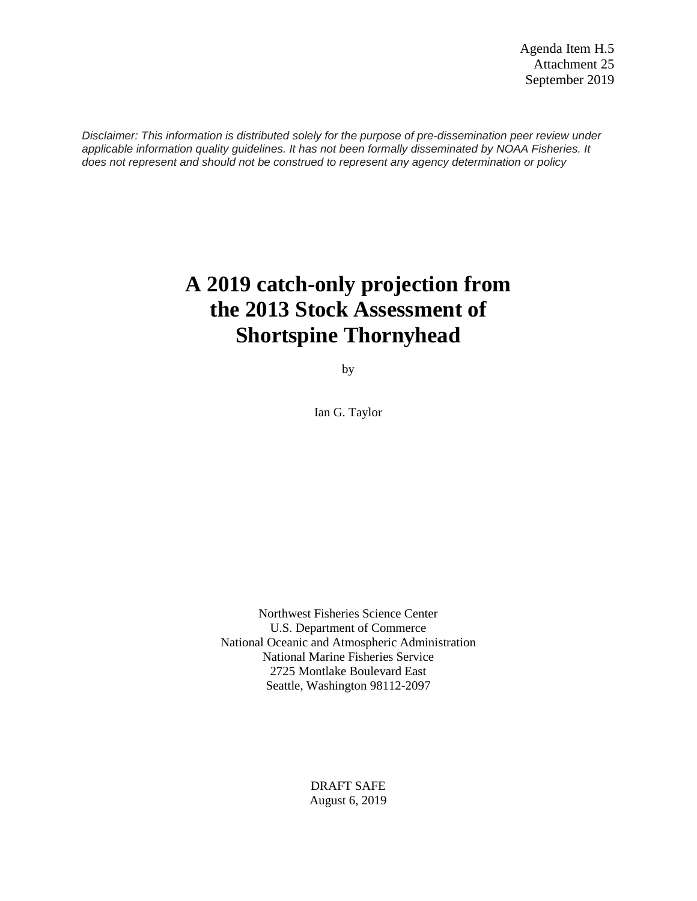*Disclaimer: This information is distributed solely for the purpose of pre-dissemination peer review under applicable information quality guidelines. It has not been formally disseminated by NOAA Fisheries. It does not represent and should not be construed to represent any agency determination or policy*

# **A 2019 catch-only projection from the 2013 Stock Assessment of Shortspine Thornyhead**

by

Ian G. Taylor

Northwest Fisheries Science Center U.S. Department of Commerce National Oceanic and Atmospheric Administration National Marine Fisheries Service 2725 Montlake Boulevard East Seattle, Washington 98112-2097

> DRAFT SAFE August 6, 2019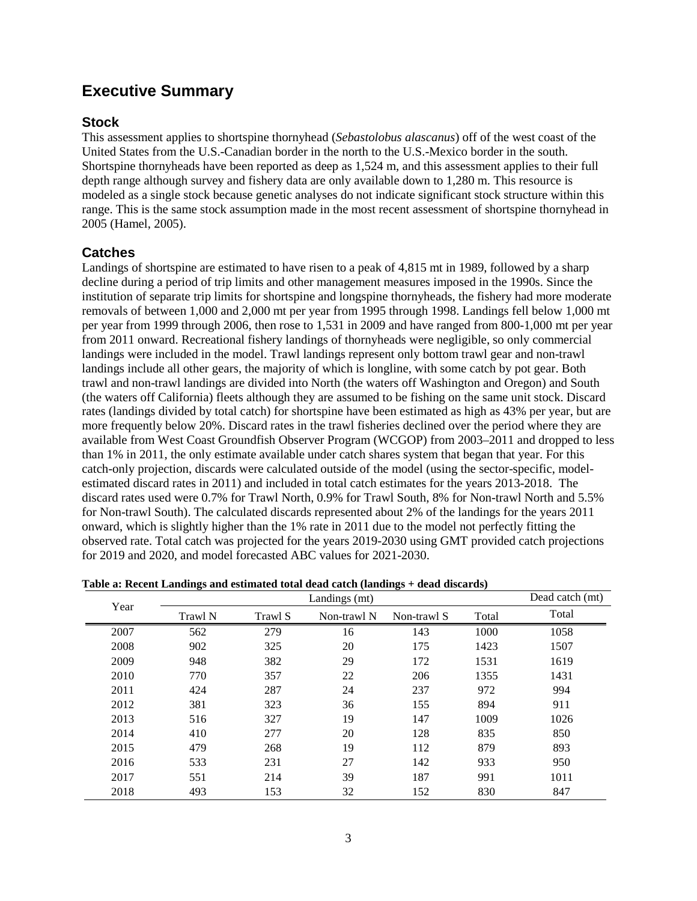## **Executive Summary**

## **Stock**

This assessment applies to shortspine thornyhead (*Sebastolobus alascanus*) off of the west coast of the United States from the U.S.-Canadian border in the north to the U.S.-Mexico border in the south. Shortspine thornyheads have been reported as deep as 1,524 m, and this assessment applies to their full depth range although survey and fishery data are only available down to 1,280 m. This resource is modeled as a single stock because genetic analyses do not indicate significant stock structure within this range. This is the same stock assumption made in the most recent assessment of shortspine thornyhead in 2005 (Hamel, 2005).

## **Catches**

Landings of shortspine are estimated to have risen to a peak of 4,815 mt in 1989, followed by a sharp decline during a period of trip limits and other management measures imposed in the 1990s. Since the institution of separate trip limits for shortspine and longspine thornyheads, the fishery had more moderate removals of between 1,000 and 2,000 mt per year from 1995 through 1998. Landings fell below 1,000 mt per year from 1999 through 2006, then rose to 1,531 in 2009 and have ranged from 800-1,000 mt per year from 2011 onward. Recreational fishery landings of thornyheads were negligible, so only commercial landings were included in the model. Trawl landings represent only bottom trawl gear and non-trawl landings include all other gears, the majority of which is longline, with some catch by pot gear. Both trawl and non-trawl landings are divided into North (the waters off Washington and Oregon) and South (the waters off California) fleets although they are assumed to be fishing on the same unit stock. Discard rates (landings divided by total catch) for shortspine have been estimated as high as 43% per year, but are more frequently below 20%. Discard rates in the trawl fisheries declined over the period where they are available from West Coast Groundfish Observer Program (WCGOP) from 2003–2011 and dropped to less than 1% in 2011, the only estimate available under catch shares system that began that year. For this catch-only projection, discards were calculated outside of the model (using the sector-specific, modelestimated discard rates in 2011) and included in total catch estimates for the years 2013-2018. The discard rates used were 0.7% for Trawl North, 0.9% for Trawl South, 8% for Non-trawl North and 5.5% for Non-trawl South). The calculated discards represented about 2% of the landings for the years 2011 onward, which is slightly higher than the 1% rate in 2011 due to the model not perfectly fitting the observed rate. Total catch was projected for the years 2019-2030 using GMT provided catch projections for 2019 and 2020, and model forecasted ABC values for 2021-2030.

| Year |         | Dead catch (mt) |             |             |       |       |
|------|---------|-----------------|-------------|-------------|-------|-------|
|      | Trawl N | Trawl S         | Non-trawl N | Non-trawl S | Total | Total |
| 2007 | 562     | 279             | 16          | 143         | 1000  | 1058  |
| 2008 | 902     | 325             | 20          | 175         | 1423  | 1507  |
| 2009 | 948     | 382             | 29          | 172         | 1531  | 1619  |
| 2010 | 770     | 357             | 22          | 206         | 1355  | 1431  |
| 2011 | 424     | 287             | 24          | 237         | 972   | 994   |
| 2012 | 381     | 323             | 36          | 155         | 894   | 911   |
| 2013 | 516     | 327             | 19          | 147         | 1009  | 1026  |
| 2014 | 410     | 277             | 20          | 128         | 835   | 850   |
| 2015 | 479     | 268             | 19          | 112         | 879   | 893   |
| 2016 | 533     | 231             | 27          | 142         | 933   | 950   |
| 2017 | 551     | 214             | 39          | 187         | 991   | 1011  |
| 2018 | 493     | 153             | 32          | 152         | 830   | 847   |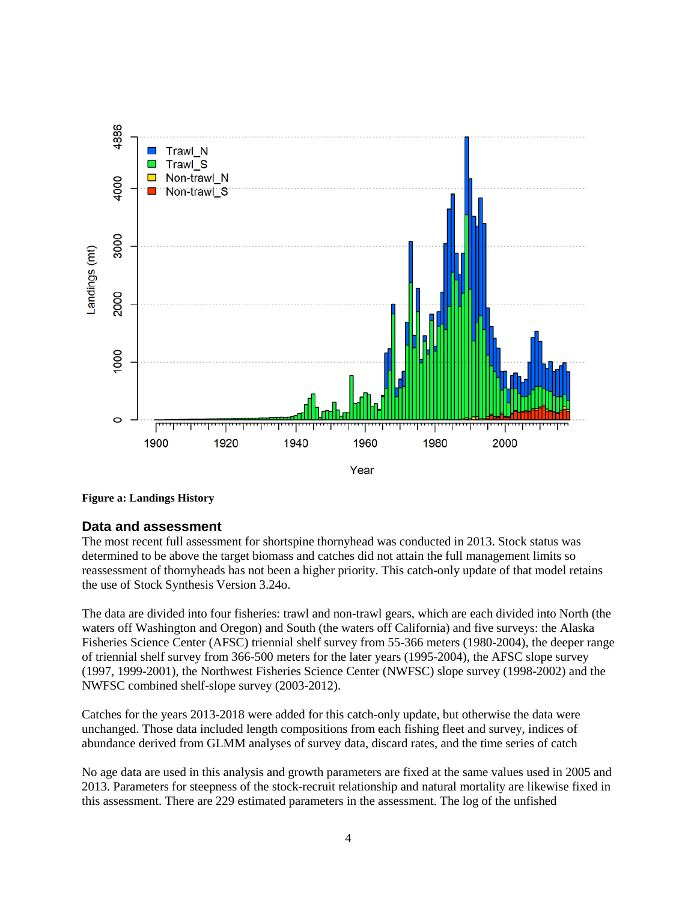

**Figure a: Landings History**

#### **Data and assessment**

The most recent full assessment for shortspine thornyhead was conducted in 2013. Stock status was determined to be above the target biomass and catches did not attain the full management limits so reassessment of thornyheads has not been a higher priority. This catch-only update of that model retains the use of Stock Synthesis Version 3.24o.

The data are divided into four fisheries: trawl and non-trawl gears, which are each divided into North (the waters off Washington and Oregon) and South (the waters off California) and five surveys: the Alaska Fisheries Science Center (AFSC) triennial shelf survey from 55-366 meters (1980-2004), the deeper range of triennial shelf survey from 366-500 meters for the later years (1995-2004), the AFSC slope survey (1997, 1999-2001), the Northwest Fisheries Science Center (NWFSC) slope survey (1998-2002) and the NWFSC combined shelf-slope survey (2003-2012).

Catches for the years 2013-2018 were added for this catch-only update, but otherwise the data were unchanged. Those data included length compositions from each fishing fleet and survey, indices of abundance derived from GLMM analyses of survey data, discard rates, and the time series of catch

No age data are used in this analysis and growth parameters are fixed at the same values used in 2005 and 2013. Parameters for steepness of the stock-recruit relationship and natural mortality are likewise fixed in this assessment. There are 229 estimated parameters in the assessment. The log of the unfished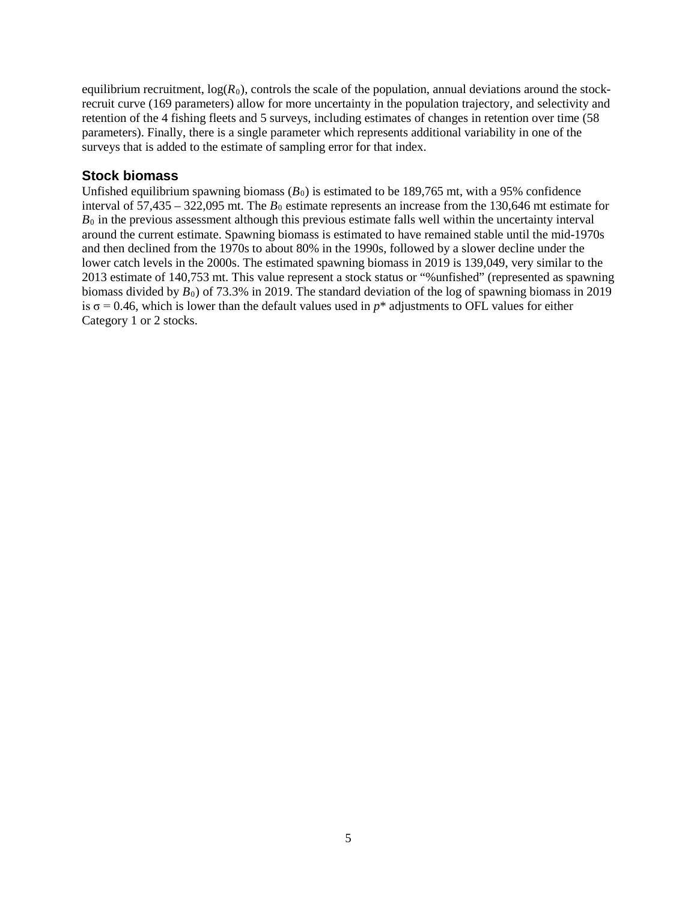equilibrium recruitment,  $log(R_0)$ , controls the scale of the population, annual deviations around the stockrecruit curve (169 parameters) allow for more uncertainty in the population trajectory, and selectivity and retention of the 4 fishing fleets and 5 surveys, including estimates of changes in retention over time (58 parameters). Finally, there is a single parameter which represents additional variability in one of the surveys that is added to the estimate of sampling error for that index.

#### **Stock biomass**

Unfished equilibrium spawning biomass  $(B_0)$  is estimated to be 189,765 mt, with a 95% confidence interval of  $57,435 - 322,095$  mt. The  $B_0$  estimate represents an increase from the 130,646 mt estimate for  $B<sub>0</sub>$  in the previous assessment although this previous estimate falls well within the uncertainty interval around the current estimate. Spawning biomass is estimated to have remained stable until the mid-1970s and then declined from the 1970s to about 80% in the 1990s, followed by a slower decline under the lower catch levels in the 2000s. The estimated spawning biomass in 2019 is 139,049, very similar to the 2013 estimate of 140,753 mt. This value represent a stock status or "%unfished" (represented as spawning biomass divided by *B*0) of 73.3% in 2019. The standard deviation of the log of spawning biomass in 2019 is  $\sigma$  = 0.46, which is lower than the default values used in  $p^*$  adjustments to OFL values for either Category 1 or 2 stocks.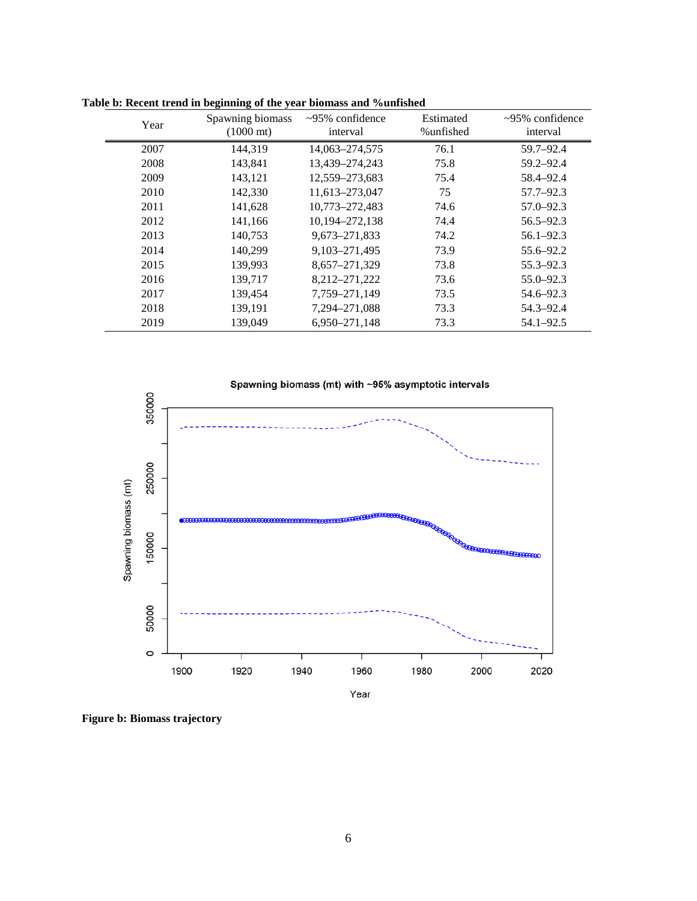| Year | Spawning biomass<br>$(1000 \text{ mt})$ | $\approx 95\%$ confidence<br>interval | Estimated<br>%unfished | $\approx 95\%$ confidence<br>interval |
|------|-----------------------------------------|---------------------------------------|------------------------|---------------------------------------|
| 2007 | 144.319                                 | 14,063-274,575                        | 76.1                   | $59.7 - 92.4$                         |
| 2008 | 143,841                                 | 13,439-274,243                        | 75.8                   | 59.2-92.4                             |
| 2009 | 143,121                                 | 12,559-273,683                        | 75.4                   | 58.4-92.4                             |
| 2010 | 142,330                                 | 11,613-273,047                        | 75                     | $57.7 - 92.3$                         |
| 2011 | 141,628                                 | 10,773-272,483                        | 74.6                   | $57.0 - 92.3$                         |
| 2012 | 141,166                                 | 10,194-272,138                        | 74.4                   | $56.5 - 92.3$                         |
| 2013 | 140.753                                 | 9,673-271,833                         | 74.2                   | $56.1 - 92.3$                         |
| 2014 | 140.299                                 | 9, 103 - 271, 495                     | 73.9                   | 55.6–92.2                             |
| 2015 | 139,993                                 | 8,657-271,329                         | 73.8                   | $55.3 - 92.3$                         |
| 2016 | 139,717                                 | 8,212-271,222                         | 73.6                   | $55.0 - 92.3$                         |
| 2017 | 139,454                                 | 7,759-271,149                         | 73.5                   | 54.6–92.3                             |
| 2018 | 139,191                                 | 7,294-271,088                         | 73.3                   | 54.3-92.4                             |
| 2019 | 139,049                                 | 6,950-271,148                         | 73.3                   | $54.1 - 92.5$                         |

**Table b: Recent trend in beginning of the year biomass and %unfished**



**Figure b: Biomass trajectory**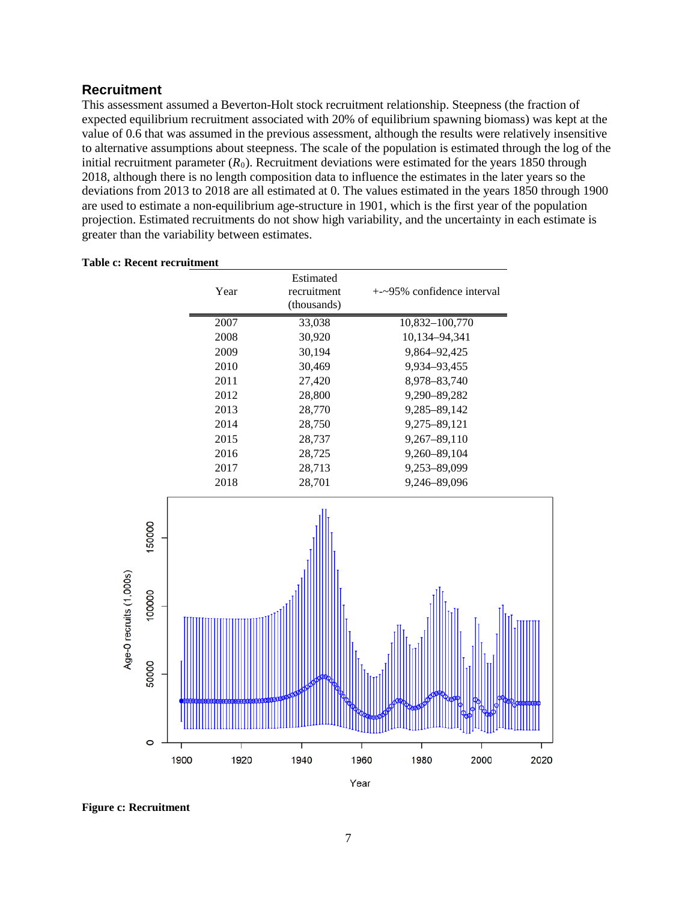#### **Recruitment**

This assessment assumed a Beverton-Holt stock recruitment relationship. Steepness (the fraction of expected equilibrium recruitment associated with 20% of equilibrium spawning biomass) was kept at the value of 0.6 that was assumed in the previous assessment, although the results were relatively insensitive to alternative assumptions about steepness. The scale of the population is estimated through the log of the initial recruitment parameter  $(R_0)$ . Recruitment deviations were estimated for the years 1850 through 2018, although there is no length composition data to influence the estimates in the later years so the deviations from 2013 to 2018 are all estimated at 0. The values estimated in the years 1850 through 1900 are used to estimate a non-equilibrium age-structure in 1901, which is the first year of the population projection. Estimated recruitments do not show high variability, and the uncertainty in each estimate is greater than the variability between estimates.



#### **Table c: Recent recruitment**

**Figure c: Recruitment**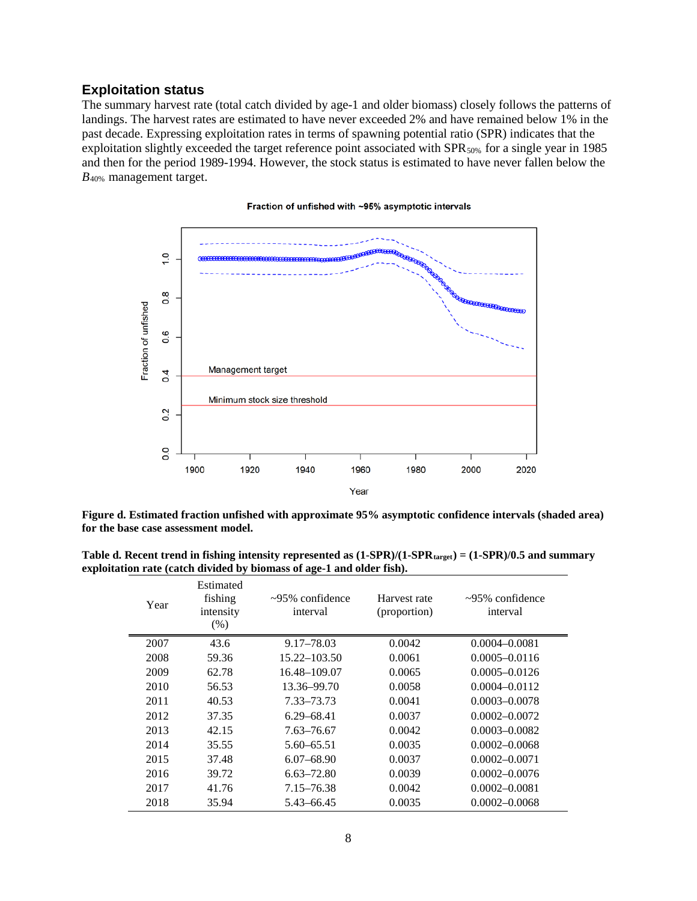#### **Exploitation status**

The summary harvest rate (total catch divided by age-1 and older biomass) closely follows the patterns of landings. The harvest rates are estimated to have never exceeded 2% and have remained below 1% in the past decade. Expressing exploitation rates in terms of spawning potential ratio (SPR) indicates that the exploitation slightly exceeded the target reference point associated with SPR<sub>50%</sub> for a single year in 1985 and then for the period 1989-1994. However, the stock status is estimated to have never fallen below the *B*40% management target.



#### **Figure d. Estimated fraction unfished with approximate 95% asymptotic confidence intervals (shaded area) for the base case assessment model.**

Table d. Recent trend in fishing intensity represented as  $(1-SPR)/(1-SPR_{\text{target}}) = (1-SPR)/0.5$  and summary **exploitation rate (catch divided by biomass of age-1 and older fish).**

| Year | Estimated<br>fishing<br>intensity<br>$(\% )$ | $\sim$ 95% confidence<br>interval | Harvest rate<br>(proportion) | $\sim$ 95% confidence<br>interval |
|------|----------------------------------------------|-----------------------------------|------------------------------|-----------------------------------|
| 2007 | 43.6                                         | 9.17-78.03                        | 0.0042                       | $0.0004 - 0.0081$                 |
| 2008 | 59.36                                        | $15.22 - 103.50$                  | 0.0061                       | $0.0005 - 0.0116$                 |
| 2009 | 62.78                                        | 16.48-109.07                      | 0.0065                       | $0.0005 - 0.0126$                 |
| 2010 | 56.53                                        | 13.36–99.70                       | 0.0058                       | $0.0004 - 0.0112$                 |
| 2011 | 40.53                                        | 7.33–73.73                        | 0.0041                       | $0.0003 - 0.0078$                 |
| 2012 | 37.35                                        | $6.29 - 68.41$                    | 0.0037                       | $0.0002 - 0.0072$                 |
| 2013 | 42.15                                        | 7.63–76.67                        | 0.0042                       | $0.0003 - 0.0082$                 |
| 2014 | 35.55                                        | 5.60–65.51                        | 0.0035                       | $0.0002 - 0.0068$                 |
| 2015 | 37.48                                        | $6.07 - 68.90$                    | 0.0037                       | $0.0002 - 0.0071$                 |
| 2016 | 39.72                                        | $6.63 - 72.80$                    | 0.0039                       | $0.0002 - 0.0076$                 |
| 2017 | 41.76                                        | 7.15–76.38                        | 0.0042                       | $0.0002 - 0.0081$                 |
| 2018 | 35.94                                        | 5.43-66.45                        | 0.0035                       | $0.0002 - 0.0068$                 |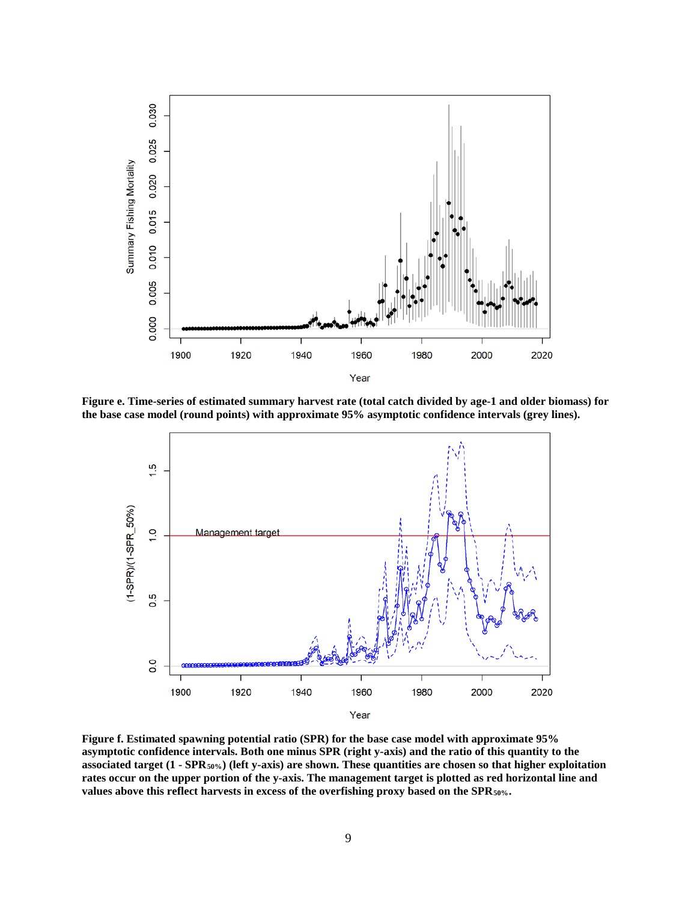

**Figure e. Time-series of estimated summary harvest rate (total catch divided by age-1 and older biomass) for the base case model (round points) with approximate 95% asymptotic confidence intervals (grey lines).**



**Figure f. Estimated spawning potential ratio (SPR) for the base case model with approximate 95% asymptotic confidence intervals. Both one minus SPR (right y-axis) and the ratio of this quantity to the associated target (1 - SPR50%) (left y-axis) are shown. These quantities are chosen so that higher exploitation rates occur on the upper portion of the y-axis. The management target is plotted as red horizontal line and**  values above this reflect harvests in excess of the overfishing proxy based on the SPR<sub>50%</sub>.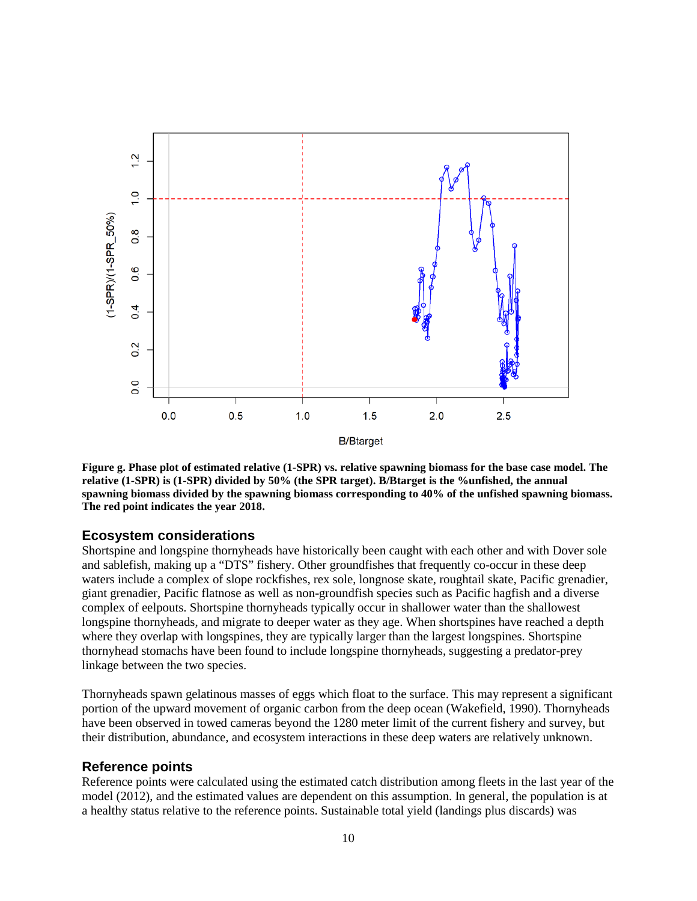

**Figure g. Phase plot of estimated relative (1-SPR) vs. relative spawning biomass for the base case model. The relative (1-SPR) is (1-SPR) divided by 50% (the SPR target). B/Btarget is the %unfished, the annual spawning biomass divided by the spawning biomass corresponding to 40% of the unfished spawning biomass. The red point indicates the year 2018.**

#### **Ecosystem considerations**

Shortspine and longspine thornyheads have historically been caught with each other and with Dover sole and sablefish, making up a "DTS" fishery. Other groundfishes that frequently co-occur in these deep waters include a complex of slope rockfishes, rex sole, longnose skate, roughtail skate, Pacific grenadier, giant grenadier, Pacific flatnose as well as non-groundfish species such as Pacific hagfish and a diverse complex of eelpouts. Shortspine thornyheads typically occur in shallower water than the shallowest longspine thornyheads, and migrate to deeper water as they age. When shortspines have reached a depth where they overlap with longspines, they are typically larger than the largest longspines. Shortspine thornyhead stomachs have been found to include longspine thornyheads, suggesting a predator-prey linkage between the two species.

Thornyheads spawn gelatinous masses of eggs which float to the surface. This may represent a significant portion of the upward movement of organic carbon from the deep ocean (Wakefield, 1990). Thornyheads have been observed in towed cameras beyond the 1280 meter limit of the current fishery and survey, but their distribution, abundance, and ecosystem interactions in these deep waters are relatively unknown.

#### **Reference points**

Reference points were calculated using the estimated catch distribution among fleets in the last year of the model (2012), and the estimated values are dependent on this assumption. In general, the population is at a healthy status relative to the reference points. Sustainable total yield (landings plus discards) was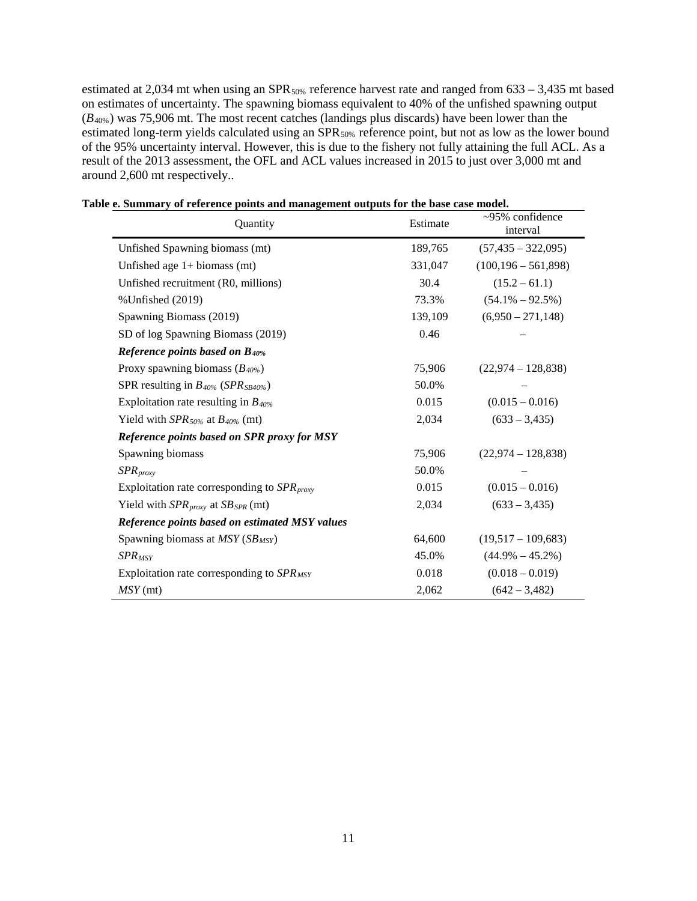estimated at 2,034 mt when using an SPR<sub>50%</sub> reference harvest rate and ranged from  $633 - 3,435$  mt based on estimates of uncertainty. The spawning biomass equivalent to 40% of the unfished spawning output (*B*40%) was 75,906 mt. The most recent catches (landings plus discards) have been lower than the estimated long-term yields calculated using an SPR<sub>50%</sub> reference point, but not as low as the lower bound of the 95% uncertainty interval. However, this is due to the fishery not fully attaining the full ACL. As a result of the 2013 assessment, the OFL and ACL values increased in 2015 to just over 3,000 mt and around 2,600 mt respectively..

| Quantity                                                  | Estimate | $~295\%$ confidence<br>interval |
|-----------------------------------------------------------|----------|---------------------------------|
| Unfished Spawning biomass (mt)                            | 189,765  | $(57, 435 - 322, 095)$          |
| Unfished age $1+$ biomass (mt)                            | 331,047  | $(100, 196 - 561, 898)$         |
| Unfished recruitment (R0, millions)                       | 30.4     | $(15.2 - 61.1)$                 |
| % Unfished (2019)                                         | 73.3%    | $(54.1\% - 92.5\%)$             |
| Spawning Biomass (2019)                                   | 139,109  | $(6,950 - 271,148)$             |
| SD of log Spawning Biomass (2019)                         | 0.46     |                                 |
| <b>Reference points based on B40%</b>                     |          |                                 |
| Proxy spawning biomass $(B_{40\%})$                       | 75,906   | $(22,974 - 128,838)$            |
| SPR resulting in $B_{40\%}$ (SPR <sub>SB40%</sub> )       | 50.0%    |                                 |
| Exploitation rate resulting in $B_{40\%}$                 | 0.015    | $(0.015 - 0.016)$               |
| Yield with $SPR_{50\%}$ at $B_{40\%}$ (mt)                | 2,034    | $(633 - 3,435)$                 |
| Reference points based on SPR proxy for MSY               |          |                                 |
| Spawning biomass                                          | 75,906   | $(22,974 - 128,838)$            |
| $SPR_{\text{proxy}}$                                      | 50.0%    |                                 |
| Exploitation rate corresponding to $SPR_{\text{proxy}}$   | 0.015    | $(0.015 - 0.016)$               |
| Yield with $SPR_{\text{proxy}}$ at $SB_{\text{SPR}}$ (mt) | 2,034    | $(633 - 3,435)$                 |
| Reference points based on estimated MSY values            |          |                                 |
| Spawning biomass at MSY (SB <sub>MSY</sub> )              | 64,600   | $(19,517 - 109,683)$            |
| $SPR_{MSY}$                                               | 45.0%    | $(44.9\% - 45.2\%)$             |
| Exploitation rate corresponding to $SPR_{MSY}$            | 0.018    | $(0.018 - 0.019)$               |
| $MSY$ (mt)                                                | 2,062    | $(642 - 3,482)$                 |

**Table e. Summary of reference points and management outputs for the base case model.**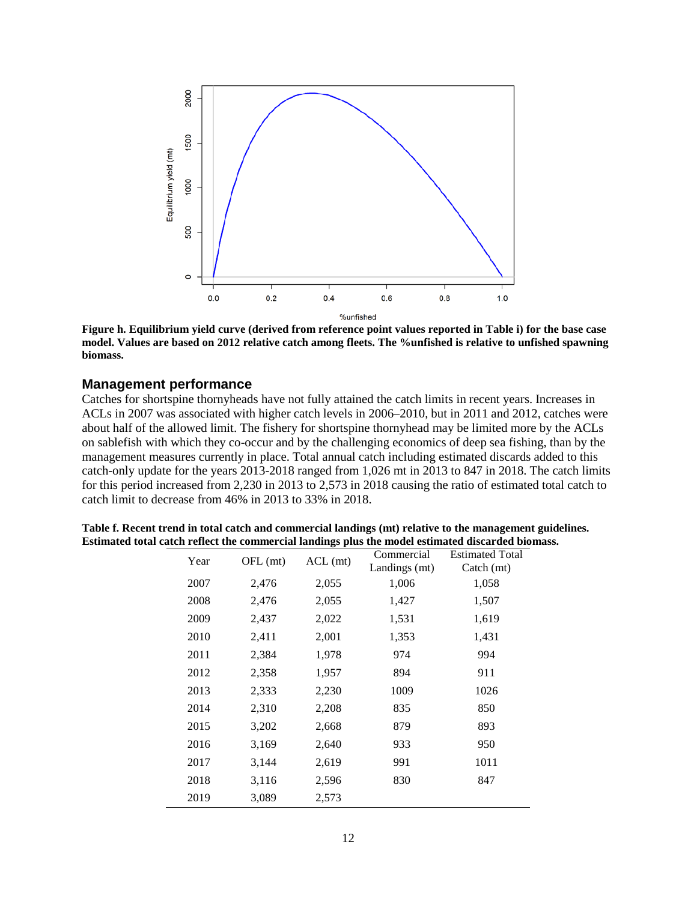

**Figure h. Equilibrium yield curve (derived from reference point values reported in Table i) for the base case model. Values are based on 2012 relative catch among fleets. The %unfished is relative to unfished spawning biomass.**

#### **Management performance**

Catches for shortspine thornyheads have not fully attained the catch limits in recent years. Increases in ACLs in 2007 was associated with higher catch levels in 2006–2010, but in 2011 and 2012, catches were about half of the allowed limit. The fishery for shortspine thornyhead may be limited more by the ACLs on sablefish with which they co-occur and by the challenging economics of deep sea fishing, than by the management measures currently in place. Total annual catch including estimated discards added to this catch-only update for the years 2013-2018 ranged from 1,026 mt in 2013 to 847 in 2018. The catch limits for this period increased from 2,230 in 2013 to 2,573 in 2018 causing the ratio of estimated total catch to catch limit to decrease from 46% in 2013 to 33% in 2018.

| Table f. Recent trend in total catch and commercial landings (mt) relative to the management guidelines. |
|----------------------------------------------------------------------------------------------------------|
| Estimated total catch reflect the commercial landings plus the model estimated discarded biomass.        |

| Year | OFL (mt) | $ACL$ (mt) | Commercial    | <b>Estimated Total</b> |
|------|----------|------------|---------------|------------------------|
|      |          |            | Landings (mt) | Catch (mt)             |
| 2007 | 2,476    | 2,055      | 1,006         | 1,058                  |
| 2008 | 2,476    | 2,055      | 1,427         | 1,507                  |
| 2009 | 2,437    | 2,022      | 1,531         | 1,619                  |
| 2010 | 2,411    | 2,001      | 1,353         | 1,431                  |
| 2011 | 2,384    | 1,978      | 974           | 994                    |
| 2012 | 2,358    | 1,957      | 894           | 911                    |
| 2013 | 2,333    | 2,230      | 1009          | 1026                   |
| 2014 | 2,310    | 2,208      | 835           | 850                    |
| 2015 | 3,202    | 2,668      | 879           | 893                    |
| 2016 | 3,169    | 2,640      | 933           | 950                    |
| 2017 | 3,144    | 2,619      | 991           | 1011                   |
| 2018 | 3,116    | 2,596      | 830           | 847                    |
| 2019 | 3,089    | 2,573      |               |                        |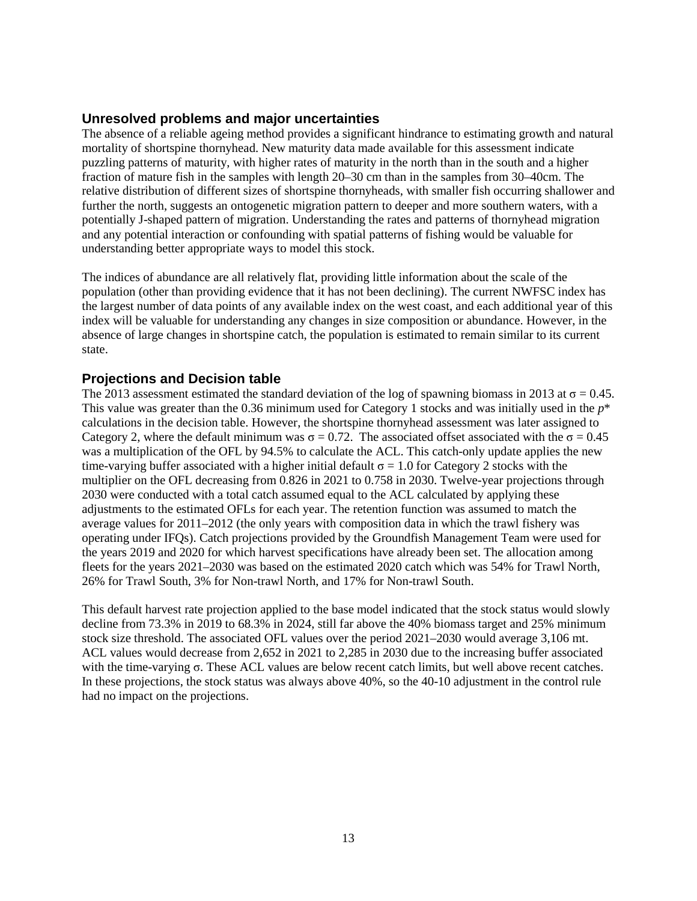#### **Unresolved problems and major uncertainties**

The absence of a reliable ageing method provides a significant hindrance to estimating growth and natural mortality of shortspine thornyhead. New maturity data made available for this assessment indicate puzzling patterns of maturity, with higher rates of maturity in the north than in the south and a higher fraction of mature fish in the samples with length 20–30 cm than in the samples from 30–40cm. The relative distribution of different sizes of shortspine thornyheads, with smaller fish occurring shallower and further the north, suggests an ontogenetic migration pattern to deeper and more southern waters, with a potentially J-shaped pattern of migration. Understanding the rates and patterns of thornyhead migration and any potential interaction or confounding with spatial patterns of fishing would be valuable for understanding better appropriate ways to model this stock.

The indices of abundance are all relatively flat, providing little information about the scale of the population (other than providing evidence that it has not been declining). The current NWFSC index has the largest number of data points of any available index on the west coast, and each additional year of this index will be valuable for understanding any changes in size composition or abundance. However, in the absence of large changes in shortspine catch, the population is estimated to remain similar to its current state.

#### **Projections and Decision table**

The 2013 assessment estimated the standard deviation of the log of spawning biomass in 2013 at  $\sigma = 0.45$ . This value was greater than the 0.36 minimum used for Category 1 stocks and was initially used in the *p*\* calculations in the decision table. However, the shortspine thornyhead assessment was later assigned to Category 2, where the default minimum was  $\sigma = 0.72$ . The associated offset associated with the  $\sigma = 0.45$ was a multiplication of the OFL by 94.5% to calculate the ACL. This catch-only update applies the new time-varying buffer associated with a higher initial default  $\sigma = 1.0$  for Category 2 stocks with the multiplier on the OFL decreasing from 0.826 in 2021 to 0.758 in 2030. Twelve-year projections through 2030 were conducted with a total catch assumed equal to the ACL calculated by applying these adjustments to the estimated OFLs for each year. The retention function was assumed to match the average values for 2011–2012 (the only years with composition data in which the trawl fishery was operating under IFQs). Catch projections provided by the Groundfish Management Team were used for the years 2019 and 2020 for which harvest specifications have already been set. The allocation among fleets for the years 2021–2030 was based on the estimated 2020 catch which was 54% for Trawl North, 26% for Trawl South, 3% for Non-trawl North, and 17% for Non-trawl South.

This default harvest rate projection applied to the base model indicated that the stock status would slowly decline from 73.3% in 2019 to 68.3% in 2024, still far above the 40% biomass target and 25% minimum stock size threshold. The associated OFL values over the period 2021–2030 would average 3,106 mt. ACL values would decrease from 2,652 in 2021 to 2,285 in 2030 due to the increasing buffer associated with the time-varying  $\sigma$ . These ACL values are below recent catch limits, but well above recent catches. In these projections, the stock status was always above 40%, so the 40-10 adjustment in the control rule had no impact on the projections.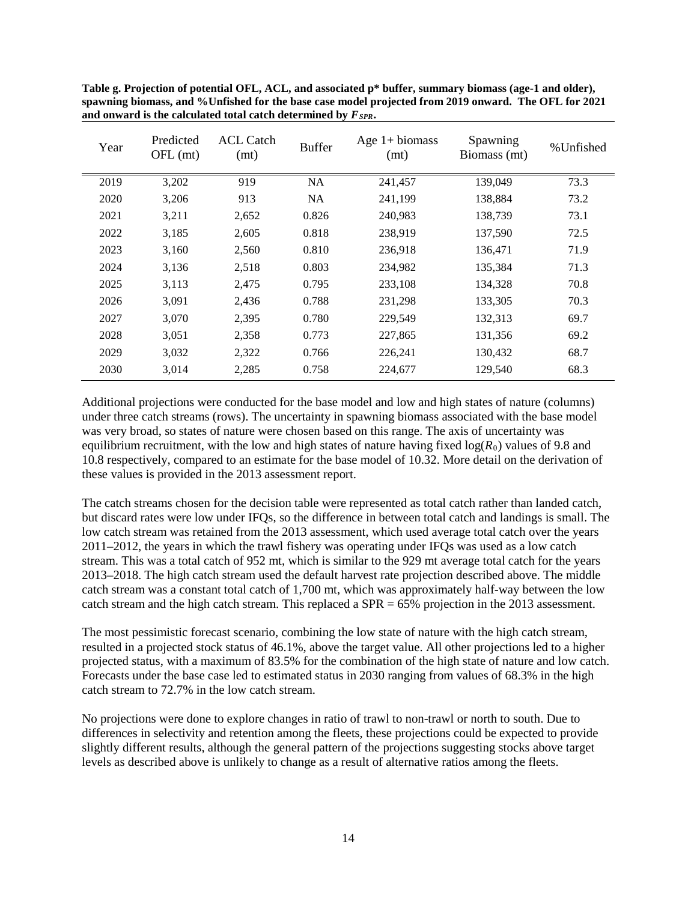**Table g. Projection of potential OFL, ACL, and associated p\* buffer, summary biomass (age-1 and older), spawning biomass, and %Unfished for the base case model projected from 2019 onward. The OFL for 2021** and onward is the calculated total catch determined by  $F_{SPR}$ .

| Year | Predicted<br>OFL (mt) | <b>ACL Catch</b><br>(mt) | <b>Buffer</b> | Age $1+$ biomass<br>(mt) | Spawning<br>Biomass (mt) | %Unfished |  |
|------|-----------------------|--------------------------|---------------|--------------------------|--------------------------|-----------|--|
| 2019 | 3,202                 | 919                      | NA            | 241,457                  | 139,049                  | 73.3      |  |
| 2020 | 3,206                 | 913                      | NA.           | 241,199                  | 138,884                  | 73.2      |  |
| 2021 | 3,211                 | 2,652                    | 0.826         | 240,983                  | 138,739                  | 73.1      |  |
| 2022 | 3,185                 | 2,605                    | 0.818         | 238,919                  | 137,590                  | 72.5      |  |
| 2023 | 3,160                 | 2,560                    | 0.810         | 236,918                  | 136,471                  | 71.9      |  |
| 2024 | 3,136                 | 2,518                    | 0.803         | 234,982                  | 135,384                  | 71.3      |  |
| 2025 | 3,113                 | 2,475                    | 0.795         | 233,108                  | 134,328                  | 70.8      |  |
| 2026 | 3,091                 | 2,436                    | 0.788         | 231,298                  | 133,305                  | 70.3      |  |
| 2027 | 3,070                 | 2,395                    | 0.780         | 229,549                  | 132,313                  | 69.7      |  |
| 2028 | 3,051                 | 2,358                    | 0.773         | 227,865                  | 131,356                  | 69.2      |  |
| 2029 | 3,032                 | 2,322                    | 0.766         | 226,241                  | 130,432                  | 68.7      |  |
| 2030 | 3,014                 | 2,285                    | 0.758         | 224,677                  | 129,540                  | 68.3      |  |

Additional projections were conducted for the base model and low and high states of nature (columns) under three catch streams (rows). The uncertainty in spawning biomass associated with the base model was very broad, so states of nature were chosen based on this range. The axis of uncertainty was equilibrium recruitment, with the low and high states of nature having fixed  $log(R_0)$  values of 9.8 and 10.8 respectively, compared to an estimate for the base model of 10.32. More detail on the derivation of these values is provided in the 2013 assessment report.

The catch streams chosen for the decision table were represented as total catch rather than landed catch, but discard rates were low under IFQs, so the difference in between total catch and landings is small. The low catch stream was retained from the 2013 assessment, which used average total catch over the years 2011–2012, the years in which the trawl fishery was operating under IFQs was used as a low catch stream. This was a total catch of 952 mt, which is similar to the 929 mt average total catch for the years 2013–2018. The high catch stream used the default harvest rate projection described above. The middle catch stream was a constant total catch of 1,700 mt, which was approximately half-way between the low catch stream and the high catch stream. This replaced a SPR = 65% projection in the 2013 assessment.

The most pessimistic forecast scenario, combining the low state of nature with the high catch stream, resulted in a projected stock status of 46.1%, above the target value. All other projections led to a higher projected status, with a maximum of 83.5% for the combination of the high state of nature and low catch. Forecasts under the base case led to estimated status in 2030 ranging from values of 68.3% in the high catch stream to 72.7% in the low catch stream.

No projections were done to explore changes in ratio of trawl to non-trawl or north to south. Due to differences in selectivity and retention among the fleets, these projections could be expected to provide slightly different results, although the general pattern of the projections suggesting stocks above target levels as described above is unlikely to change as a result of alternative ratios among the fleets.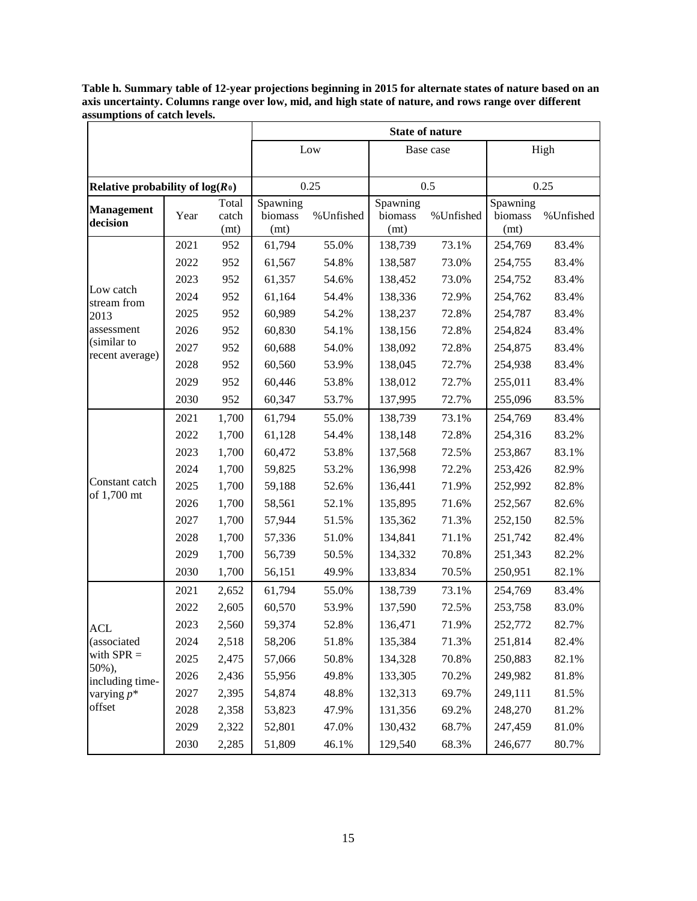|                                    |      |                                                       | <b>State of nature</b> |                  |                             |           |                             |           |  |  |  |
|------------------------------------|------|-------------------------------------------------------|------------------------|------------------|-----------------------------|-----------|-----------------------------|-----------|--|--|--|
|                                    |      |                                                       |                        | Low<br>Base case |                             |           | High                        |           |  |  |  |
|                                    |      |                                                       |                        |                  |                             |           |                             |           |  |  |  |
| Relative probability of $log(R_0)$ |      |                                                       |                        | 0.25             |                             | 0.5       |                             | 0.25      |  |  |  |
| <b>Management</b><br>decision      | Year | Spawning<br>Total<br>biomass<br>catch<br>(mt)<br>(mt) |                        | %Unfished        | Spawning<br>biomass<br>(mt) | %Unfished | Spawning<br>biomass<br>(mt) | %Unfished |  |  |  |
|                                    | 2021 | 952                                                   | 61,794                 | 55.0%            | 138,739                     | 73.1%     | 254,769                     | 83.4%     |  |  |  |
|                                    | 2022 | 952                                                   | 61,567                 | 54.8%            | 138,587                     | 73.0%     | 254,755                     | 83.4%     |  |  |  |
|                                    | 2023 | 952                                                   | 61,357                 | 54.6%            | 138,452                     | 73.0%     | 254,752                     | 83.4%     |  |  |  |
| Low catch<br>stream from           | 2024 | 952                                                   | 61,164                 | 54.4%            | 138,336                     | 72.9%     | 254,762                     | 83.4%     |  |  |  |
| 2013                               | 2025 | 952                                                   | 60,989                 | 54.2%            | 138,237                     | 72.8%     | 254,787                     | 83.4%     |  |  |  |
| assessment                         | 2026 | 952                                                   | 60,830                 | 54.1%            | 138,156                     | 72.8%     | 254,824                     | 83.4%     |  |  |  |
| (similar to                        | 2027 | 952                                                   | 60,688                 | 54.0%            | 138,092                     | 72.8%     | 254,875                     | 83.4%     |  |  |  |
| recent average)                    | 2028 | 952                                                   | 60,560                 | 53.9%            | 138,045                     | 72.7%     | 254,938                     | 83.4%     |  |  |  |
|                                    | 2029 | 952                                                   | 60,446                 | 53.8%            | 138,012                     | 72.7%     | 255,011                     | 83.4%     |  |  |  |
|                                    | 2030 | 952                                                   | 60,347                 | 53.7%            | 137,995                     | 72.7%     | 255,096                     | 83.5%     |  |  |  |
|                                    | 2021 | 1,700                                                 | 61,794                 | 55.0%            | 138,739                     | 73.1%     | 254,769                     | 83.4%     |  |  |  |
|                                    | 2022 | 1,700                                                 | 61,128                 | 54.4%            | 138,148                     | 72.8%     | 254,316                     | 83.2%     |  |  |  |
|                                    | 2023 | 1,700                                                 | 60,472                 | 53.8%            | 137,568                     | 72.5%     | 253,867                     | 83.1%     |  |  |  |
|                                    | 2024 | 1,700                                                 | 59,825                 | 53.2%            | 136,998                     | 72.2%     | 253,426                     | 82.9%     |  |  |  |
| Constant catch<br>of 1,700 mt      | 2025 | 1,700                                                 | 59,188                 | 52.6%            | 136,441                     | 71.9%     | 252,992                     | 82.8%     |  |  |  |
|                                    | 2026 | 1,700                                                 | 58,561                 | 52.1%            | 135,895                     | 71.6%     | 252,567                     | 82.6%     |  |  |  |
|                                    | 2027 | 1,700                                                 | 57,944                 | 51.5%            | 135,362                     | 71.3%     | 252,150                     | 82.5%     |  |  |  |
|                                    | 2028 | 1,700                                                 | 57,336                 | 51.0%            | 134,841                     | 71.1%     | 251,742                     | 82.4%     |  |  |  |
|                                    | 2029 | 1,700                                                 | 56,739                 | 50.5%            | 134,332                     | 70.8%     | 251,343                     | 82.2%     |  |  |  |
|                                    | 2030 | 1,700                                                 | 56,151                 | 49.9%            | 133,834                     | 70.5%     | 250,951                     | 82.1%     |  |  |  |
|                                    | 2021 | 2,652                                                 | 61,794                 | 55.0%            | 138,739                     | 73.1%     | 254,769                     | 83.4%     |  |  |  |
|                                    | 2022 | 2,605                                                 | 60,570                 | 53.9%            | 137,590                     | 72.5%     | 253,758                     | 83.0%     |  |  |  |
| <b>ACL</b>                         | 2023 | 2,560                                                 | 59,374                 | 52.8%            | 136,471                     | 71.9%     | 252,772                     | 82.7%     |  |  |  |
| (associated                        | 2024 | 2,518                                                 | 58,206                 | 51.8%            | 135,384                     | 71.3%     | 251,814                     | 82.4%     |  |  |  |
| with $SPR =$<br>50%),              | 2025 | 2,475                                                 | 57,066                 | 50.8%            | 134,328                     | 70.8%     | 250,883                     | 82.1%     |  |  |  |
| including time-                    | 2026 | 2,436                                                 | 55,956                 | 49.8%            | 133,305                     | 70.2%     | 249,982                     | 81.8%     |  |  |  |
| varying $p^*$                      | 2027 | 2,395                                                 | 54,874                 | 48.8%            | 132,313                     | 69.7%     | 249,111                     | 81.5%     |  |  |  |
| offset                             | 2028 | 2,358                                                 | 53,823                 | 47.9%            | 131,356                     | 69.2%     | 248,270                     | 81.2%     |  |  |  |
|                                    | 2029 | 2,322                                                 | 52,801                 | 47.0%            | 130,432                     | 68.7%     | 247,459                     | 81.0%     |  |  |  |
|                                    | 2030 | 2,285                                                 | 51,809                 | 46.1%            | 129,540                     | 68.3%     | 246,677                     | 80.7%     |  |  |  |

**Table h. Summary table of 12-year projections beginning in 2015 for alternate states of nature based on an axis uncertainty. Columns range over low, mid, and high state of nature, and rows range over different assumptions of catch levels.**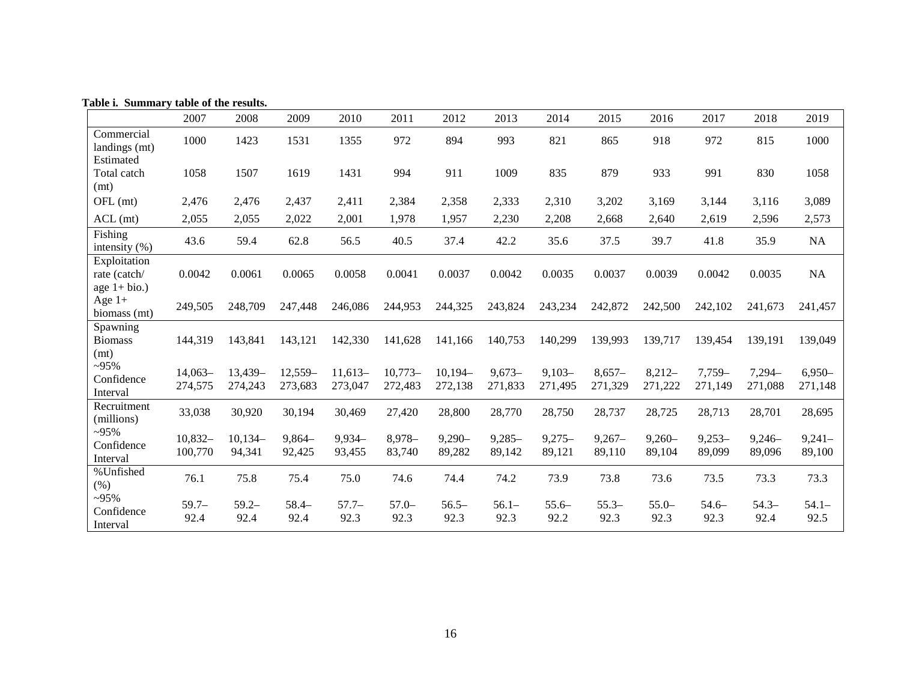**Table i. Summary table of the results.**

|                                                | 2007                 | 2008                 | 2009                 | 2010                 | 2011                 | 2012                 | 2013                | 2014                | 2015                | 2016                | 2017                | 2018                | 2019                |
|------------------------------------------------|----------------------|----------------------|----------------------|----------------------|----------------------|----------------------|---------------------|---------------------|---------------------|---------------------|---------------------|---------------------|---------------------|
| Commercial<br>landings (mt)                    | 1000                 | 1423                 | 1531                 | 1355                 | 972                  | 894                  | 993                 | 821                 | 865                 | 918                 | 972                 | 815                 | 1000                |
| Estimated<br>Total catch<br>(mt)               | 1058                 | 1507                 | 1619                 | 1431                 | 994                  | 911                  | 1009                | 835                 | 879                 | 933                 | 991                 | 830                 | 1058                |
| OFL (mt)                                       | 2,476                | 2,476                | 2,437                | 2,411                | 2,384                | 2,358                | 2,333               | 2,310               | 3,202               | 3,169               | 3,144               | 3,116               | 3,089               |
| $ACL$ (mt)                                     | 2,055                | 2,055                | 2,022                | 2,001                | 1,978                | 1,957                | 2,230               | 2,208               | 2,668               | 2,640               | 2,619               | 2,596               | 2,573               |
| Fishing<br>intensity $(\% )$                   | 43.6                 | 59.4                 | 62.8                 | 56.5                 | 40.5                 | 37.4                 | 42.2                | 35.6                | 37.5                | 39.7                | 41.8                | 35.9                | NA                  |
| Exploitation<br>rate (catch/<br>age $1+$ bio.) | 0.0042               | 0.0061               | 0.0065               | 0.0058               | 0.0041               | 0.0037               | 0.0042              | 0.0035              | 0.0037              | 0.0039              | 0.0042              | 0.0035              | NA                  |
| Age $1+$<br>biomass (mt)                       | 249,505              | 248,709              | 247,448              | 246,086              | 244,953              | 244,325              | 243,824             | 243,234             | 242,872             | 242,500             | 242,102             | 241,673             | 241,457             |
| Spawning<br><b>Biomass</b><br>(mt)             | 144,319              | 143,841              | 143,121              | 142,330              | 141,628              | 141,166              | 140,753             | 140,299             | 139,993             | 139,717             | 139,454             | 139,191             | 139,049             |
| $-95%$<br>Confidence<br>Interval               | $14,063-$<br>274,575 | $13,439-$<br>274,243 | $12,559-$<br>273,683 | $11,613-$<br>273,047 | $10,773-$<br>272,483 | $10,194-$<br>272,138 | $9,673-$<br>271,833 | $9,103-$<br>271,495 | $8,657-$<br>271,329 | $8,212-$<br>271,222 | $7,759-$<br>271,149 | 7,294-<br>271,088   | $6,950-$<br>271,148 |
| Recruitment<br>(millions)                      | 33,038               | 30,920               | 30,194               | 30,469               | 27,420               | 28,800               | 28,770              | 28,750              | 28,737              | 28,725              | 28,713              | 28,701              | 28,695              |
| $-95%$<br>Confidence<br>Interval               | $10,832-$<br>100,770 | $10,134-$<br>94,341  | $9,864-$<br>92,425   | $9,934-$<br>93,455   | $8,978-$<br>83,740   | $9,290 -$<br>89,282  | $9,285 -$<br>89,142 | $9,275-$<br>89,121  | $9,267-$<br>89,110  | $9,260 -$<br>89,104 | $9,253-$<br>89,099  | $9,246 -$<br>89,096 | $9,241-$<br>89,100  |
| %Unfished<br>(% )                              | 76.1                 | 75.8                 | 75.4                 | 75.0                 | 74.6                 | 74.4                 | 74.2                | 73.9                | 73.8                | 73.6                | 73.5                | 73.3                | 73.3                |
| $-95%$<br>Confidence<br>Interval               | $59.7 -$<br>92.4     | $59.2 -$<br>92.4     | $58.4-$<br>92.4      | $57.7-$<br>92.3      | $57.0-$<br>92.3      | $56.5-$<br>92.3      | $56.1 -$<br>92.3    | $55.6-$<br>92.2     | $55.3-$<br>92.3     | $55.0-$<br>92.3     | $54.6-$<br>92.3     | $54.3-$<br>92.4     | $54.1 -$<br>92.5    |